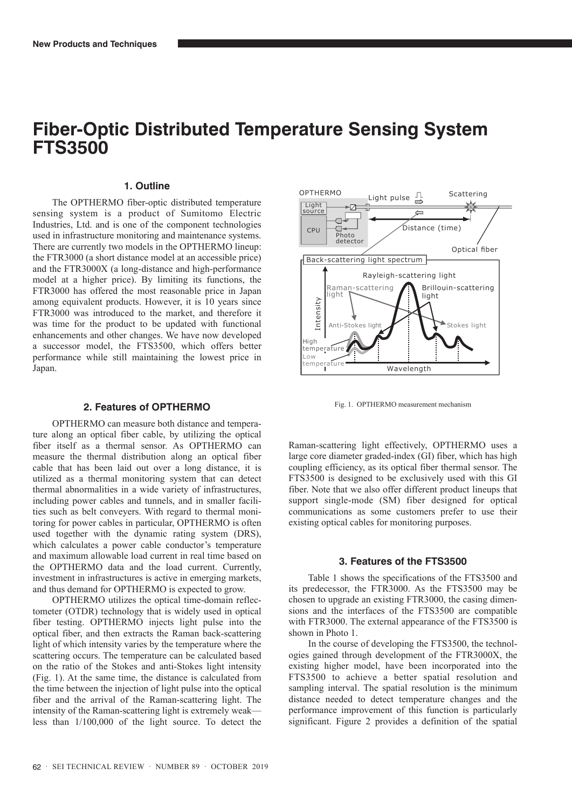# **Fiber-Optic Distributed Temperature Sensing System FTS3500**

## **1. Outline**

The OPTHERMO fiber-optic distributed temperature sensing system is a product of Sumitomo Electric Industries, Ltd. and is one of the component technologies used in infrastructure monitoring and maintenance systems. There are currently two models in the OPTHERMO lineup: the FTR3000 (a short distance model at an accessible price) and the FTR3000X (a long-distance and high-performance model at a higher price). By limiting its functions, the FTR3000 has offered the most reasonable price in Japan among equivalent products. However, it is 10 years since FTR3000 was introduced to the market, and therefore it was time for the product to be updated with functional enhancements and other changes. We have now developed a successor model, the FTS3500, which offers better performance while still maintaining the lowest price in Japan.

#### **2. Features of OPTHERMO**

OPTHERMO can measure both distance and temperature along an optical fiber cable, by utilizing the optical fiber itself as a thermal sensor. As OPTHERMO can measure the thermal distribution along an optical fiber cable that has been laid out over a long distance, it is utilized as a thermal monitoring system that can detect thermal abnormalities in a wide variety of infrastructures, including power cables and tunnels, and in smaller facilities such as belt conveyers. With regard to thermal monitoring for power cables in particular, OPTHERMO is often used together with the dynamic rating system (DRS), which calculates a power cable conductor's temperature and maximum allowable load current in real time based on the OPTHERMO data and the load current. Currently, investment in infrastructures is active in emerging markets, and thus demand for OPTHERMO is expected to grow.

OPTHERMO utilizes the optical time-domain reflectometer (OTDR) technology that is widely used in optical fiber testing. OPTHERMO injects light pulse into the optical fiber, and then extracts the Raman back-scattering light of which intensity varies by the temperature where the scattering occurs. The temperature can be calculated based on the ratio of the Stokes and anti-Stokes light intensity (Fig. 1). At the same time, the distance is calculated from the time between the injection of light pulse into the optical fiber and the arrival of the Raman-scattering light. The intensity of the Raman-scattering light is extremely weak less than 1/100,000 of the light source. To detect the



Fig. 1. OPTHERMO measurement mechanism

Raman-scattering light effectively, OPTHERMO uses a large core diameter graded-index (GI) fiber, which has high coupling efficiency, as its optical fiber thermal sensor. The FTS3500 is designed to be exclusively used with this GI fiber. Note that we also offer different product lineups that support single-mode (SM) fiber designed for optical communications as some customers prefer to use their existing optical cables for monitoring purposes.

# **3. Features of the FTS3500**

Table 1 shows the specifications of the FTS3500 and its predecessor, the FTR3000. As the FTS3500 may be chosen to upgrade an existing FTR3000, the casing dimensions and the interfaces of the FTS3500 are compatible with FTR3000. The external appearance of the FTS3500 is shown in Photo 1.

In the course of developing the FTS3500, the technologies gained through development of the FTR3000X, the existing higher model, have been incorporated into the FTS3500 to achieve a better spatial resolution and sampling interval. The spatial resolution is the minimum distance needed to detect temperature changes and the performance improvement of this function is particularly significant. Figure 2 provides a definition of the spatial